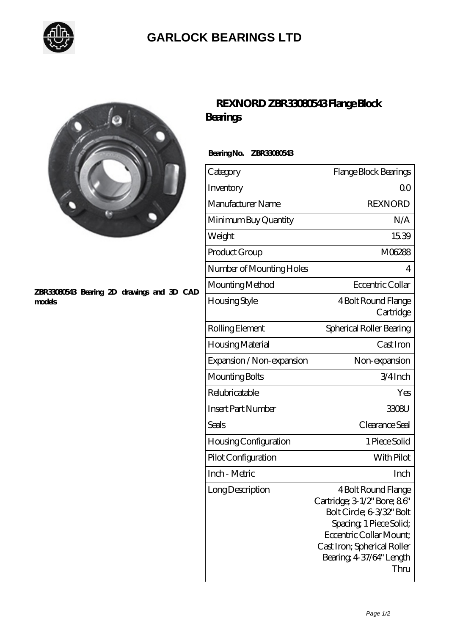

## **[GARLOCK BEARINGS LTD](https://m.letterstopriests.com)**



#### **[ZBR33080543 Bearing 2D drawings and 3D CAD](https://m.letterstopriests.com/pic-188630.html) [models](https://m.letterstopriests.com/pic-188630.html)**

## **[REXNORD ZBR33080543 Flange Block](https://m.letterstopriests.com/bd-188630-rexnord-zbr33080543-flange-block-bearings.html) [Bearings](https://m.letterstopriests.com/bd-188630-rexnord-zbr33080543-flange-block-bearings.html)**

### **Bearing No. ZBR33080543**

| Category                     | Flange Block Bearings                                                                                                                                                                                    |
|------------------------------|----------------------------------------------------------------------------------------------------------------------------------------------------------------------------------------------------------|
| Inventory                    | QΟ                                                                                                                                                                                                       |
| Manufacturer Name            | <b>REXNORD</b>                                                                                                                                                                                           |
| Minimum Buy Quantity         | N/A                                                                                                                                                                                                      |
| Weight                       | 1539                                                                                                                                                                                                     |
| Product Group                | M06288                                                                                                                                                                                                   |
| Number of Mounting Holes     | 4                                                                                                                                                                                                        |
| Mounting Method              | Eccentric Collar                                                                                                                                                                                         |
| Housing Style                | 4 Bolt Round Flange<br>Cartridge                                                                                                                                                                         |
| Rolling Element              | Spherical Roller Bearing                                                                                                                                                                                 |
| Housing Material             | Cast Iron                                                                                                                                                                                                |
| Expansion / Non-expansion    | Non-expansion                                                                                                                                                                                            |
| Mounting Bolts               | 3/4Inch                                                                                                                                                                                                  |
| Relubricatable               | Yes                                                                                                                                                                                                      |
| <b>Insert Part Number</b>    | 3308U                                                                                                                                                                                                    |
| Seals                        | Clearance Seal                                                                                                                                                                                           |
| <b>Housing Configuration</b> | 1 Piece Solid                                                                                                                                                                                            |
| Pilot Configuration          | With Pilot                                                                                                                                                                                               |
| Inch - Metric                | Inch                                                                                                                                                                                                     |
| Long Description             | 4 Bolt Round Flange<br>Cartridge; 3 1/2" Bore; 86"<br>Bolt Circle; 6-3/32" Bolt<br>Spacing, 1 Piece Solid;<br>Eccentric Collar Mount:<br>Cast Iron; Spherical Roller<br>Bearing, 4-37/64" Length<br>Thru |